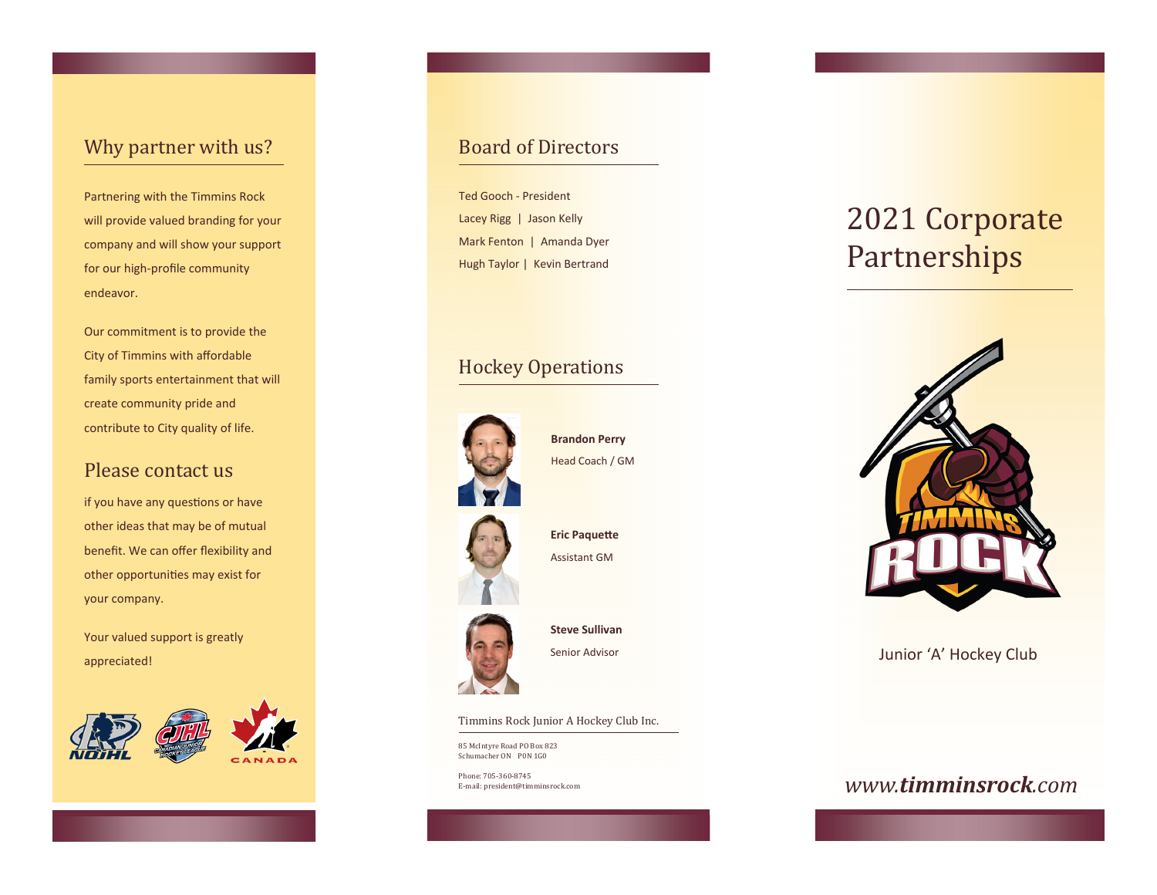## Why partner with us?

Partnering with the Timmins Rock will provide valued branding for your company and will show your support for our high‐profile community endeavor.

Our commitment is to provide the City of Timmins with affordable family sports entertainment that will create community pride and contribute to City quality of life.

## Please contact us

if you have any questions or have other ideas that may be of mutual benefit. We can offer flexibility and other opportunities may exist for your company.

Your valued support is greatly appreciated!



## Board of Directors

Ted Gooch ‐ President Lacey Rigg | Jason Kelly Mark Fenton | Amanda Dyer Hugh Taylor | Kevin Bertrand

## Hockey Operations



**Brandon Perry** Head Coach / GM

**Eric Paquette** Assistant GM

## **Steve Sullivan**

Senior Advisor

Timmins Rock Junior A Hockey Club Inc.

85 McIntyre Road PO Box 823 Schumacher ON P0N 1G0

Phone: 705-360-8745 E-mail: president@timminsrock.com

# 2021 Corporate **Partnerships**



Junior 'A' Hockey Club

## *www.timminsrock.com*